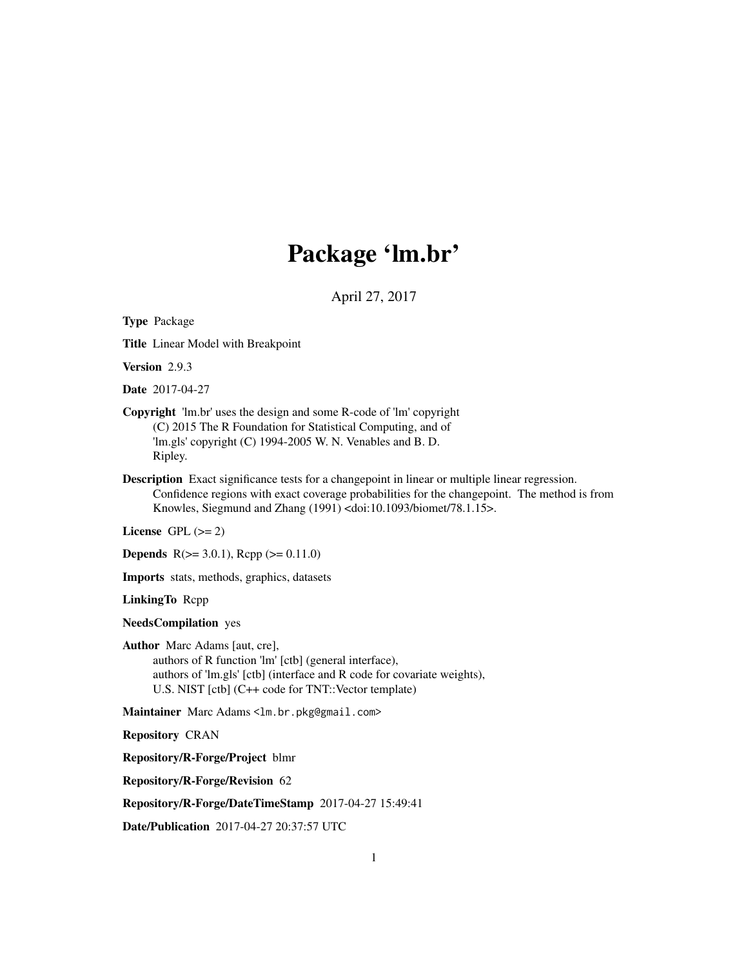# Package 'lm.br'

April 27, 2017

<span id="page-0-0"></span>Type Package Title Linear Model with Breakpoint Version 2.9.3 Date 2017-04-27 Copyright 'lm.br' uses the design and some R-code of 'lm' copyright (C) 2015 The R Foundation for Statistical Computing, and of 'lm.gls' copyright (C) 1994-2005 W. N. Venables and B. D. Ripley. Description Exact significance tests for a changepoint in linear or multiple linear regression. Confidence regions with exact coverage probabilities for the changepoint. The method is from Knowles, Siegmund and Zhang (1991) <doi:10.1093/biomet/78.1.15>. License GPL  $(>= 2)$ **Depends**  $R(>= 3.0.1)$ ,  $Rcpp(>= 0.11.0)$ Imports stats, methods, graphics, datasets LinkingTo Rcpp NeedsCompilation yes Author Marc Adams [aut, cre], authors of R function 'lm' [ctb] (general interface), authors of 'lm.gls' [ctb] (interface and R code for covariate weights), U.S. NIST [ctb] (C++ code for TNT::Vector template) Maintainer Marc Adams <lm.br.pkg@gmail.com> Repository CRAN Repository/R-Forge/Project blmr Repository/R-Forge/Revision 62 Repository/R-Forge/DateTimeStamp 2017-04-27 15:49:41

Date/Publication 2017-04-27 20:37:57 UTC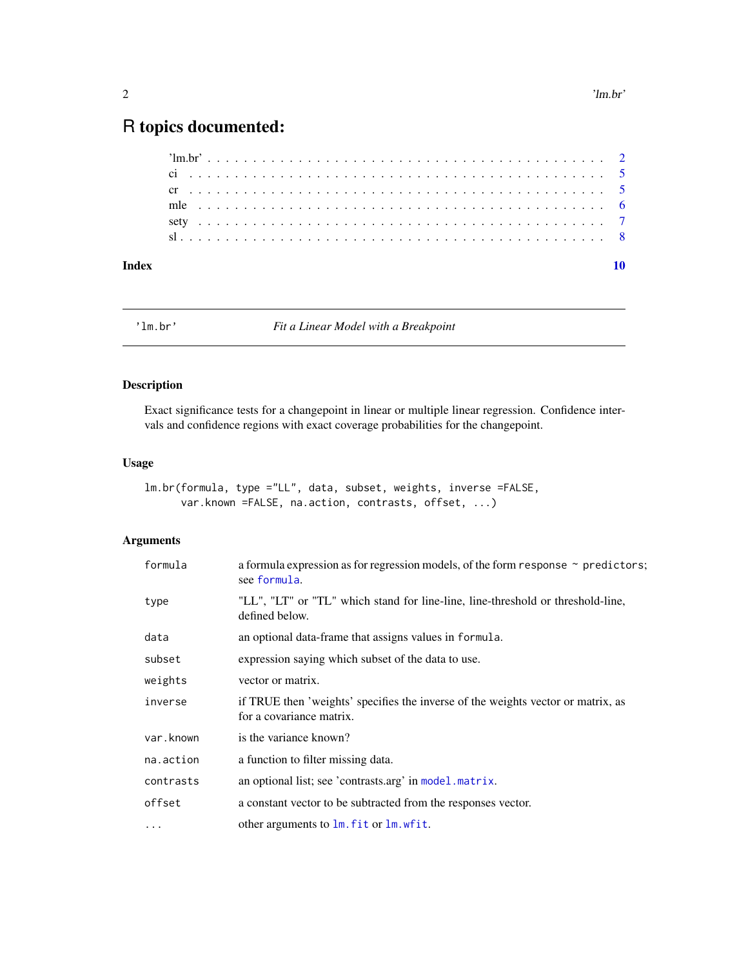## <span id="page-1-0"></span>R topics documented:

'lm.br' *Fit a Linear Model with a Breakpoint*

#### Description

Exact significance tests for a changepoint in linear or multiple linear regression. Confidence intervals and confidence regions with exact coverage probabilities for the changepoint.

#### Usage

```
lm.br(formula, type ="LL", data, subset, weights, inverse =FALSE,
      var.known =FALSE, na.action, contrasts, offset, ...)
```
#### Arguments

| formula   | a formula expression as for regression models, of the form response $\sim$ predictors;<br>see formula.       |
|-----------|--------------------------------------------------------------------------------------------------------------|
| type      | "LL", "LT" or "TL" which stand for line-line, line-threshold or threshold-line,<br>defined below.            |
| data      | an optional data-frame that assigns values in formula.                                                       |
| subset    | expression saying which subset of the data to use.                                                           |
| weights   | vector or matrix.                                                                                            |
| inverse   | if TRUE then 'weights' specifies the inverse of the weights vector or matrix, as<br>for a covariance matrix. |
| var.known | is the variance known?                                                                                       |
| na.action | a function to filter missing data.                                                                           |
| contrasts | an optional list; see 'contrasts.arg' in model.matrix.                                                       |
| offset    | a constant vector to be subtracted from the responses vector.                                                |
| $\cdots$  | other arguments to lm. fit or lm. wfit.                                                                      |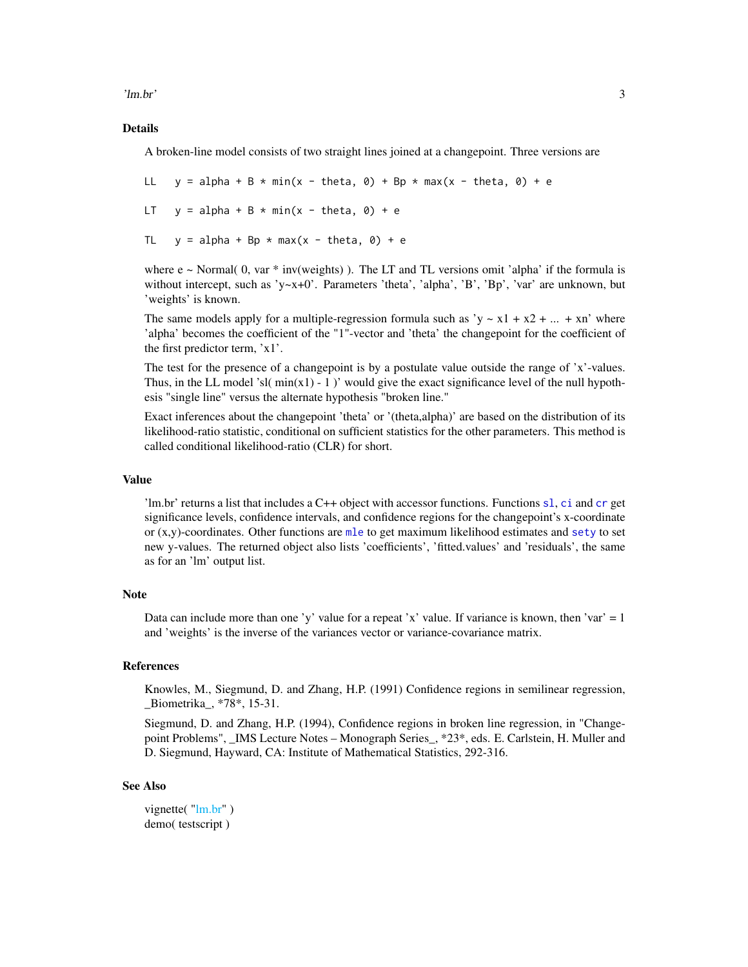<span id="page-2-0"></span>'lm.br' 3

#### Details

A broken-line model consists of two straight lines joined at a changepoint. Three versions are

LL  $y = alpha + B * min(x - theta, \theta) + Bp * max(x - theta, \theta) + e$ 

LT  $y = alpha + B * min(x - theta, 0) + e$ 

TL  $y = alpha + Bp * max(x - theta, 0) + e$ 

where  $e \sim$  Normal( 0, var  $*$  inv(weights)). The LT and TL versions omit 'alpha' if the formula is without intercept, such as 'y~x+0'. Parameters 'theta', 'alpha', 'B', 'Bp', 'var' are unknown, but 'weights' is known.

The same models apply for a multiple-regression formula such as 'y  $\sim x1 + x2 + ... + xn$ ' where 'alpha' becomes the coefficient of the "1"-vector and 'theta' the changepoint for the coefficient of the first predictor term, 'x1'.

The test for the presence of a changepoint is by a postulate value outside the range of 'x'-values. Thus, in the LL model 'sl( $min(x1) - 1$ )' would give the exact significance level of the null hypothesis "single line" versus the alternate hypothesis "broken line."

Exact inferences about the changepoint 'theta' or '(theta,alpha)' are based on the distribution of its likelihood-ratio statistic, conditional on sufficient statistics for the other parameters. This method is called conditional likelihood-ratio (CLR) for short.

#### Value

'lm.br' returns a list that includes a C++ object with accessor functions. Functions [sl](#page-7-1), [ci](#page-4-1) and [cr](#page-4-2) get significance levels, confidence intervals, and confidence regions for the changepoint's x-coordinate or  $(x,y)$ -coordinates. Other functions are  $m$  e to get maximum likelihood estimates and [sety](#page-6-1) to set new y-values. The returned object also lists 'coefficients', 'fitted.values' and 'residuals', the same as for an 'lm' output list.

#### Note

Data can include more than one 'y' value for a repeat 'x' value. If variance is known, then 'var'  $= 1$ and 'weights' is the inverse of the variances vector or variance-covariance matrix.

#### References

Knowles, M., Siegmund, D. and Zhang, H.P. (1991) Confidence regions in semilinear regression, \_Biometrika\_, \*78\*, 15-31.

Siegmund, D. and Zhang, H.P. (1994), Confidence regions in broken line regression, in "Changepoint Problems", \_IMS Lecture Notes – Monograph Series\_, \*23\*, eds. E. Carlstein, H. Muller and D. Siegmund, Hayward, CA: Institute of Mathematical Statistics, 292-316.

#### See Also

```
"lm.br")
demo( testscript )
```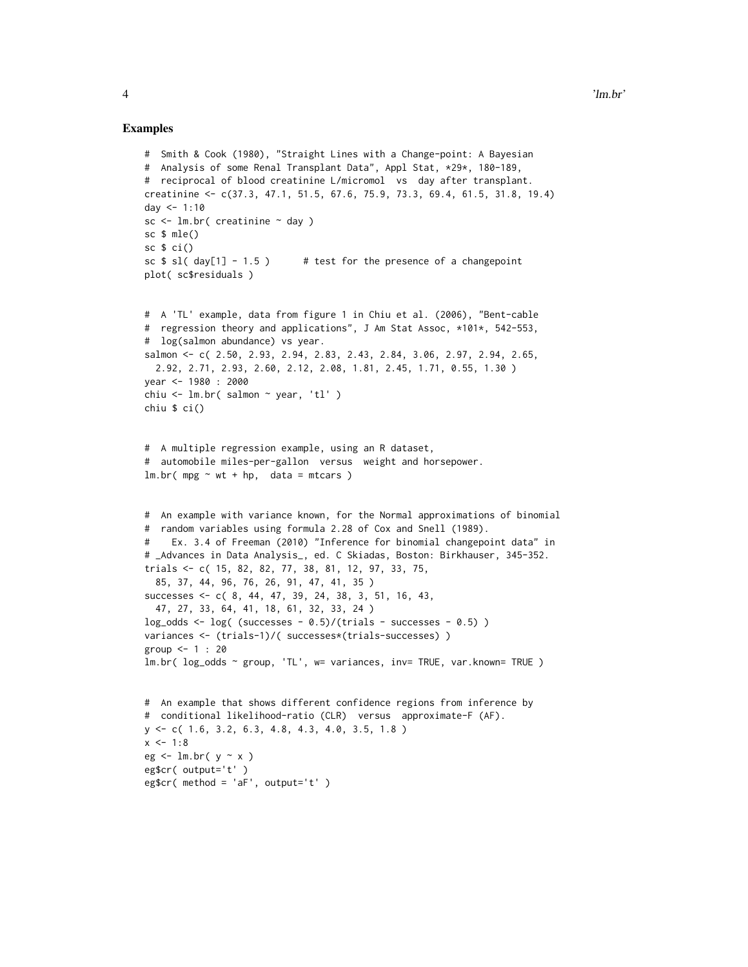```
# Smith & Cook (1980), "Straight Lines with a Change-point: A Bayesian
# Analysis of some Renal Transplant Data", Appl Stat, *29*, 180-189,
# reciprocal of blood creatinine L/micromol vs day after transplant.
creatinine <- c(37.3, 47.1, 51.5, 67.6, 75.9, 73.3, 69.4, 61.5, 31.8, 19.4)
day <-1:10sc \le 1m.br( creatinine \sim day )
sc $ mle()
sc $ ci()
sc $ sl( day[1] - 1.5) # test for the presence of a changepoint
plot( sc$residuals )
# A 'TL' example, data from figure 1 in Chiu et al. (2006), "Bent-cable
# regression theory and applications", J Am Stat Assoc, *101*, 542-553,
# log(salmon abundance) vs year.
salmon <- c( 2.50, 2.93, 2.94, 2.83, 2.43, 2.84, 3.06, 2.97, 2.94, 2.65,
  2.92, 2.71, 2.93, 2.60, 2.12, 2.08, 1.81, 2.45, 1.71, 0.55, 1.30 )
year <- 1980 : 2000
chiu <- lm.br( salmon ~ year, 'tl' )
chiu $ ci()
# A multiple regression example, using an R dataset,
# automobile miles-per-gallon versus weight and horsepower.
lm.br( mpg ~wt + hp, data = mtcars )# An example with variance known, for the Normal approximations of binomial
# random variables using formula 2.28 of Cox and Snell (1989).
# Ex. 3.4 of Freeman (2010) "Inference for binomial changepoint data" in
# _Advances in Data Analysis_, ed. C Skiadas, Boston: Birkhauser, 345-352.
trials <- c( 15, 82, 82, 77, 38, 81, 12, 97, 33, 75,
  85, 37, 44, 96, 76, 26, 91, 47, 41, 35 )
successes <- c( 8, 44, 47, 39, 24, 38, 3, 51, 16, 43,
  47, 27, 33, 64, 41, 18, 61, 32, 33, 24 )
log\_odds \leq log( (successes - 0.5)/(trials - successes - 0.5))
variances <- (trials-1)/( successes*(trials-successes) )
group <- 1 : 20
lm.br( log_odds ~ group, 'TL', w= variances, inv= TRUE, var.known= TRUE )
# An example that shows different confidence regions from inference by
# conditional likelihood-ratio (CLR) versus approximate-F (AF).
y <- c( 1.6, 3.2, 6.3, 4.8, 4.3, 4.0, 3.5, 1.8 )
x \le -1:8eg \le 1m.br( y \sim x )
eg$cr( output='t' )
eg$cr(method = 'aF', output='t')
```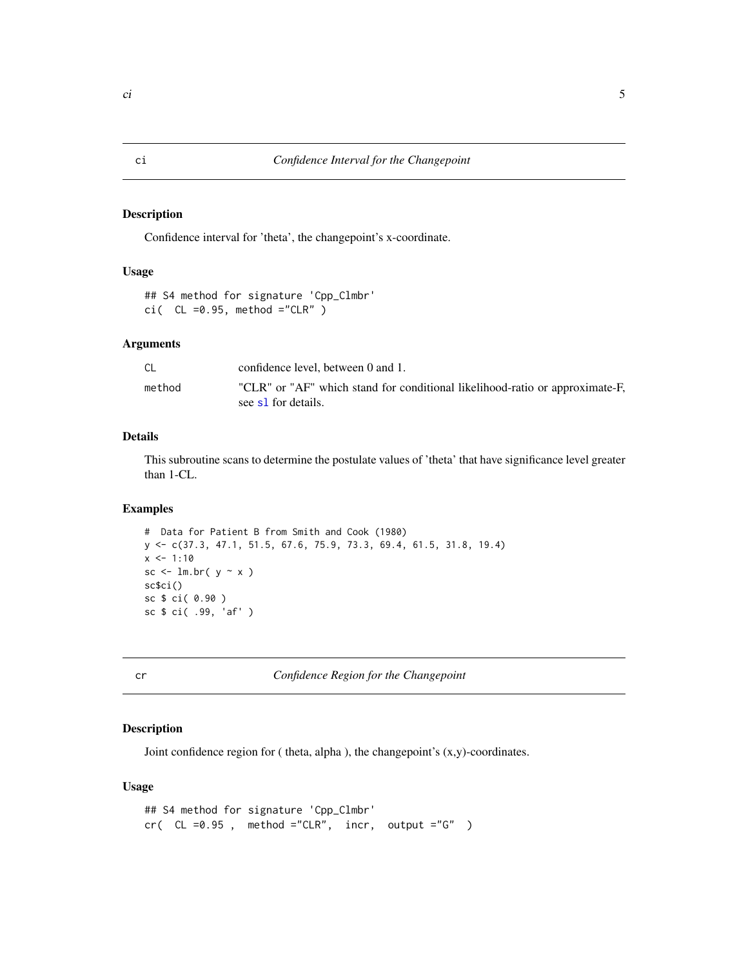#### <span id="page-4-1"></span><span id="page-4-0"></span>Description

Confidence interval for 'theta', the changepoint's x-coordinate.

#### Usage

```
## S4 method for signature 'Cpp_Clmbr'
ci( CL = 0.95, method ="CLR" )
```
#### Arguments

|        | confidence level, between 0 and 1.                                                                  |
|--------|-----------------------------------------------------------------------------------------------------|
| method | "CLR" or "AF" which stand for conditional likelihood-ratio or approximate-F,<br>see s1 for details. |

## Details

This subroutine scans to determine the postulate values of 'theta' that have significance level greater than 1-CL.

#### Examples

```
# Data for Patient B from Smith and Cook (1980)
y <- c(37.3, 47.1, 51.5, 67.6, 75.9, 73.3, 69.4, 61.5, 31.8, 19.4)
x \le -1:10sc \le lm.br( y \sim x )
sc$ci()
sc $ ci( 0.90 )
sc $ ci( .99, 'af' )
```
<span id="page-4-2"></span>cr *Confidence Region for the Changepoint*

#### Description

Joint confidence region for ( theta, alpha ), the changepoint's (x,y)-coordinates.

#### Usage

```
## S4 method for signature 'Cpp_Clmbr'
cr( CL =0.95, method ="CLR", incr, output ="G" )
```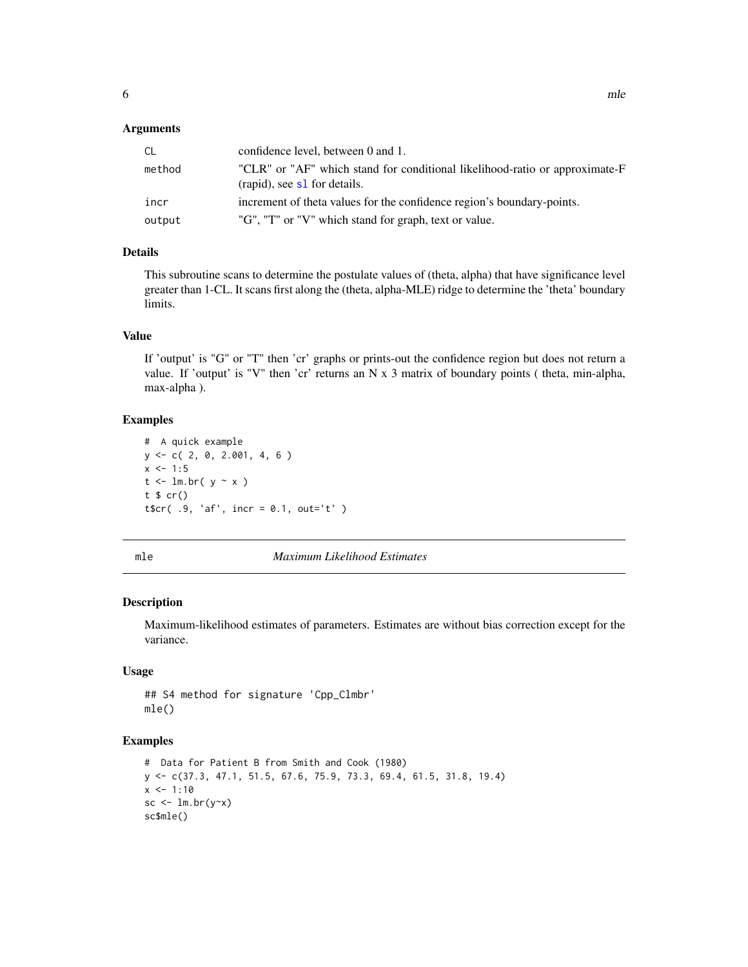#### <span id="page-5-0"></span>**Arguments**

| <sub>CL</sub> | confidence level, between 0 and 1.                                                                          |
|---------------|-------------------------------------------------------------------------------------------------------------|
| method        | "CLR" or "AF" which stand for conditional likelihood-ratio or approximate-F<br>(rapid), see s1 for details. |
| incr          | increment of theta values for the confidence region's boundary-points.                                      |
| output        | "G", "T" or "V" which stand for graph, text or value.                                                       |

#### Details

This subroutine scans to determine the postulate values of (theta, alpha) that have significance level greater than 1-CL. It scans first along the (theta, alpha-MLE) ridge to determine the 'theta' boundary limits.

#### Value

If 'output' is "G" or "T" then 'cr' graphs or prints-out the confidence region but does not return a value. If 'output' is "V" then 'cr' returns an N x 3 matrix of boundary points ( theta, min-alpha, max-alpha ).

#### Examples

```
# A quick example
y <- c( 2, 0, 2.001, 4, 6 )
x \le -1:5t <- lm.br( y ~ x )
t $ cr()
t$cr( .9, 'af', incr = 0.1, out='t' )
```
<span id="page-5-1"></span>mle *Maximum Likelihood Estimates*

#### Description

Maximum-likelihood estimates of parameters. Estimates are without bias correction except for the variance.

#### Usage

## S4 method for signature 'Cpp\_Clmbr' mle()

```
# Data for Patient B from Smith and Cook (1980)
y <- c(37.3, 47.1, 51.5, 67.6, 75.9, 73.3, 69.4, 61.5, 31.8, 19.4)
x < -1:10sc \leftarrow lm.br(y \sim x)sc$mle()
```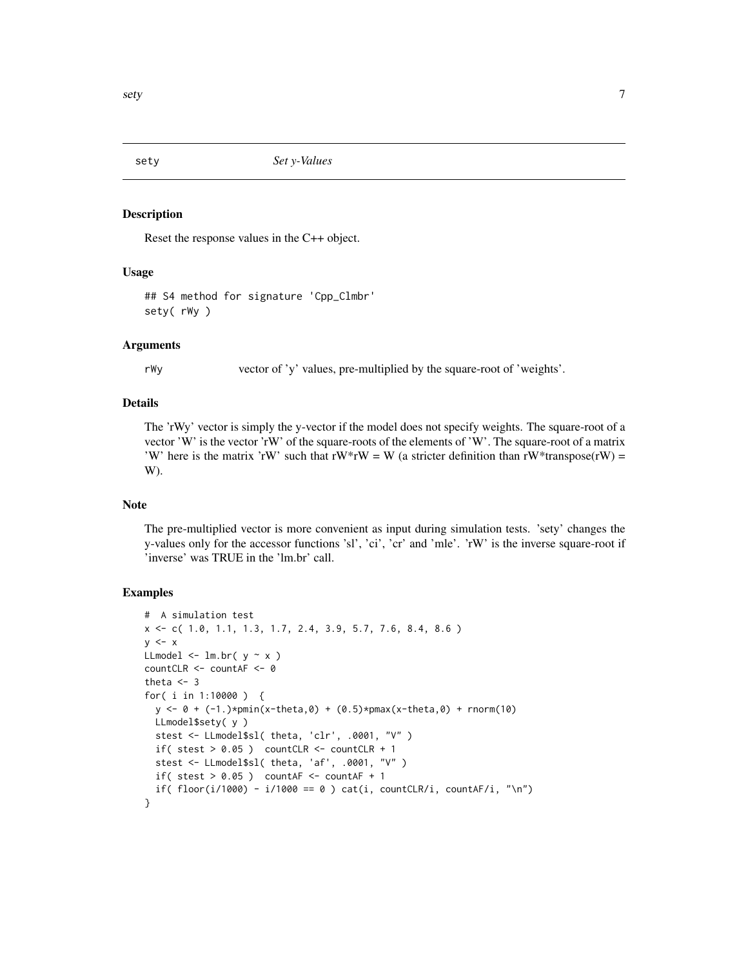<span id="page-6-1"></span><span id="page-6-0"></span>

#### Description

Reset the response values in the C++ object.

#### Usage

## S4 method for signature 'Cpp\_Clmbr' sety( rWy )

#### Arguments

rWy vector of 'y' values, pre-multiplied by the square-root of 'weights'.

#### Details

The 'rWy' vector is simply the y-vector if the model does not specify weights. The square-root of a vector 'W' is the vector 'rW' of the square-roots of the elements of 'W'. The square-root of a matrix 'W' here is the matrix 'rW' such that  $rW*rw = W$  (a stricter definition than  $rW*transpose(rW) =$ W).

#### Note

The pre-multiplied vector is more convenient as input during simulation tests. 'sety' changes the y-values only for the accessor functions 'sl', 'ci', 'cr' and 'mle'. 'rW' is the inverse square-root if 'inverse' was TRUE in the 'lm.br' call.

```
# A simulation test
x <- c( 1.0, 1.1, 1.3, 1.7, 2.4, 3.9, 5.7, 7.6, 8.4, 8.6 )
y \leq -xLLmodel \le lm.br( y \sim x )
countCLR <- countAF <- 0
theta <-3for( i in 1:10000 ) {
  y \le -0 + (-1.)\n\times pmin(x - theta, 0) + (0.5)\n\times pmax(x - theta, 0) + rnorm(10)LLmodel$sety( y )
  stest <- LLmodel$sl( theta, 'clr', .0001, "V" )
  if( stest > 0.05 ) countCLR <- countCLR + 1
  stest <- LLmodel$sl( theta, 'af', .0001, "V" )
  if( stest > 0.05 ) countAF <- countAF +1if( floor(i/1000) - i/1000 == 0) cat(i, countCLR/i, countAF/i, "\n")
}
```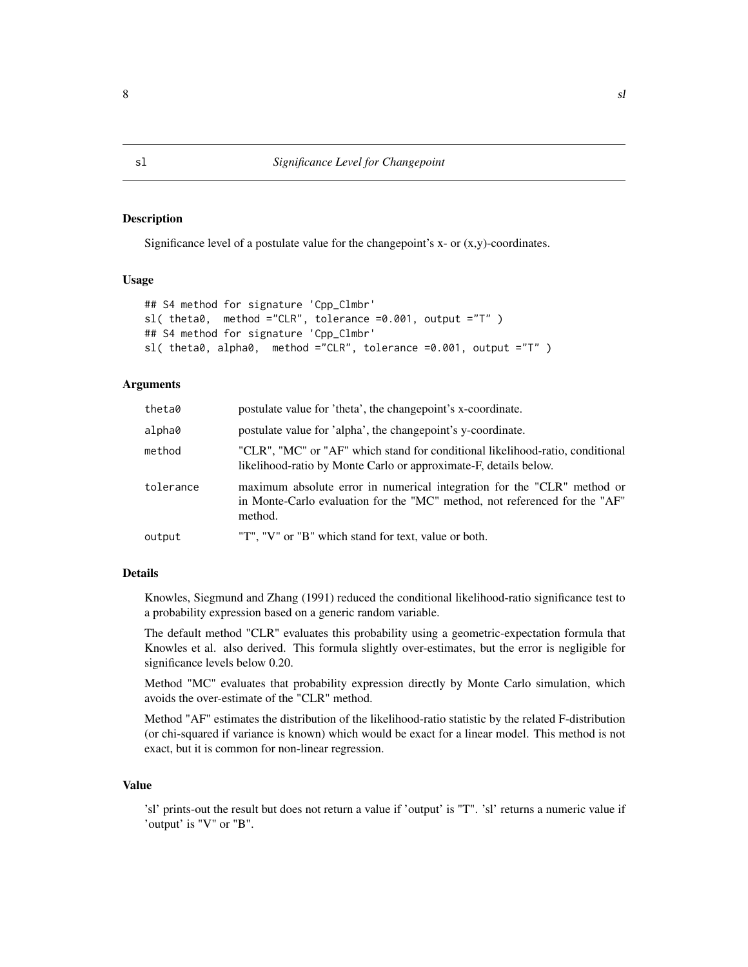#### Description

Significance level of a postulate value for the changepoint's  $x$ - or  $(x,y)$ -coordinates.

#### Usage

```
## S4 method for signature 'Cpp_Clmbr'
sl( theta0, method ="CLR", tolerance =0.001, output ="T" )
## S4 method for signature 'Cpp_Clmbr'
sl( theta0, alpha0, method ="CLR", tolerance =0.001, output ="T" )
```
#### **Arguments**

| theta0    | postulate value for 'theta', the changepoint's x-coordinate.                                                                                                     |
|-----------|------------------------------------------------------------------------------------------------------------------------------------------------------------------|
| alpha0    | postulate value for 'alpha', the changepoint's y-coordinate.                                                                                                     |
| method    | "CLR", "MC" or "AF" which stand for conditional likelihood-ratio, conditional<br>likelihood-ratio by Monte Carlo or approximate-F, details below.                |
| tolerance | maximum absolute error in numerical integration for the "CLR" method or<br>in Monte-Carlo evaluation for the "MC" method, not referenced for the "AF"<br>method. |
| output    | "T", "V" or "B" which stand for text, value or both.                                                                                                             |
|           |                                                                                                                                                                  |

#### Details

Knowles, Siegmund and Zhang (1991) reduced the conditional likelihood-ratio significance test to a probability expression based on a generic random variable.

The default method "CLR" evaluates this probability using a geometric-expectation formula that Knowles et al. also derived. This formula slightly over-estimates, but the error is negligible for significance levels below 0.20.

Method "MC" evaluates that probability expression directly by Monte Carlo simulation, which avoids the over-estimate of the "CLR" method.

Method "AF" estimates the distribution of the likelihood-ratio statistic by the related F-distribution (or chi-squared if variance is known) which would be exact for a linear model. This method is not exact, but it is common for non-linear regression.

#### Value

'sl' prints-out the result but does not return a value if 'output' is "T". 'sl' returns a numeric value if 'output' is "V" or "B".

<span id="page-7-1"></span><span id="page-7-0"></span>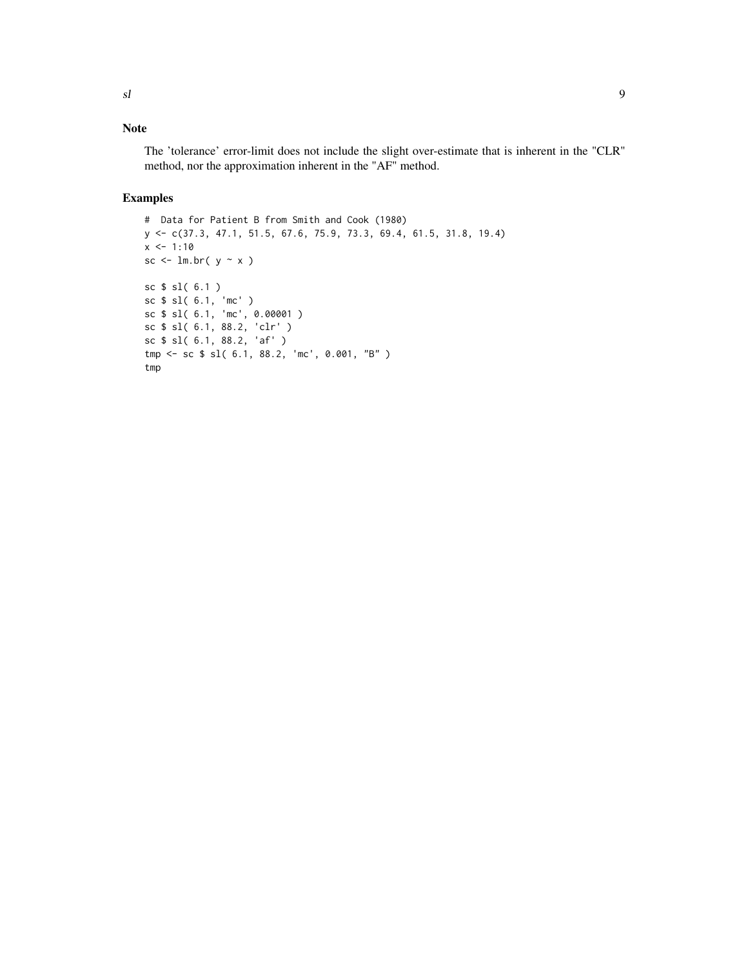## Note

The 'tolerance' error-limit does not include the slight over-estimate that is inherent in the "CLR" method, nor the approximation inherent in the "AF" method.

```
# Data for Patient B from Smith and Cook (1980)
y <- c(37.3, 47.1, 51.5, 67.6, 75.9, 73.3, 69.4, 61.5, 31.8, 19.4)
x \le -1:10sc \le 1m.br( y \sim x )
sc $ sl( 6.1 )
sc $ sl( 6.1, 'mc' )
sc $ sl( 6.1, 'mc', 0.00001 )
sc $ sl( 6.1, 88.2, 'clr' )
sc $ sl( 6.1, 88.2, 'af' )
tmp <- sc $ sl( 6.1, 88.2, 'mc', 0.001, "B" )
tmp
```